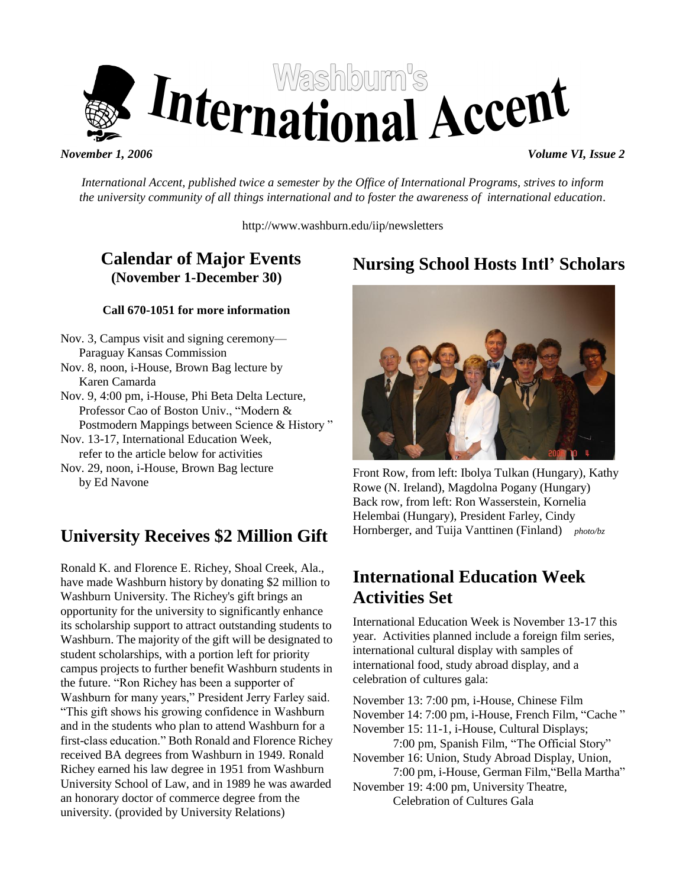

*International Accent, published twice a semester by the Office of International Programs, strives to inform the university community of all things international and to foster the awareness of international education.*

http://www.washburn.edu/iip/newsletters

# **Calendar of Major Events (November 1-December 30)**

#### **Call 670-1051 for more information**

- Nov. 3, Campus visit and signing ceremony— Paraguay Kansas Commission Nov. 8, noon, i-House, Brown Bag lecture by Karen Camarda
- Nov. 9, 4:00 pm, i-House, Phi Beta Delta Lecture, Professor Cao of Boston Univ., "Modern & Postmodern Mappings between Science & History"
- Nov. 13-17, International Education Week, refer to the article below for activities
- Nov. 29, noon, i-House, Brown Bag lecture by Ed Navone

# **University Receives \$2 Million Gift**

Ronald K. and Florence E. Richey, Shoal Creek, Ala., have made Washburn history by donating \$2 million to Washburn University. The Richey's gift brings an opportunity for the university to significantly enhance its scholarship support to attract outstanding students to Washburn. The majority of the gift will be designated to student scholarships, with a portion left for priority campus projects to further benefit Washburn students in the future. "Ron Richey has been a supporter of Washburn for many years," President Jerry Farley said. ―This gift shows his growing confidence in Washburn and in the students who plan to attend Washburn for a first-class education." Both Ronald and Florence Richey received BA degrees from Washburn in 1949. Ronald Richey earned his law degree in 1951 from Washburn University School of Law, and in 1989 he was awarded an honorary doctor of commerce degree from the university. (provided by University Relations)

# **Nursing School Hosts Intl' Scholars**



Front Row, from left: Ibolya Tulkan (Hungary), Kathy Rowe (N. Ireland), Magdolna Pogany (Hungary) Back row, from left: Ron Wasserstein, Kornelia Helembai (Hungary), President Farley, Cindy Hornberger, and Tuija Vanttinen (Finland) *photo/bz*

# **International Education Week Activities Set**

International Education Week is November 13-17 this year. Activities planned include a foreign film series, international cultural display with samples of international food, study abroad display, and a celebration of cultures gala:

November 13: 7:00 pm, i-House, Chinese Film November 14: 7:00 pm, i-House, French Film, "Cache" November 15: 11-1, i-House, Cultural Displays; 7:00 pm, Spanish Film, "The Official Story" November 16: Union, Study Abroad Display, Union, 7:00 pm, i-House, German Film, "Bella Martha" November 19: 4:00 pm, University Theatre, Celebration of Cultures Gala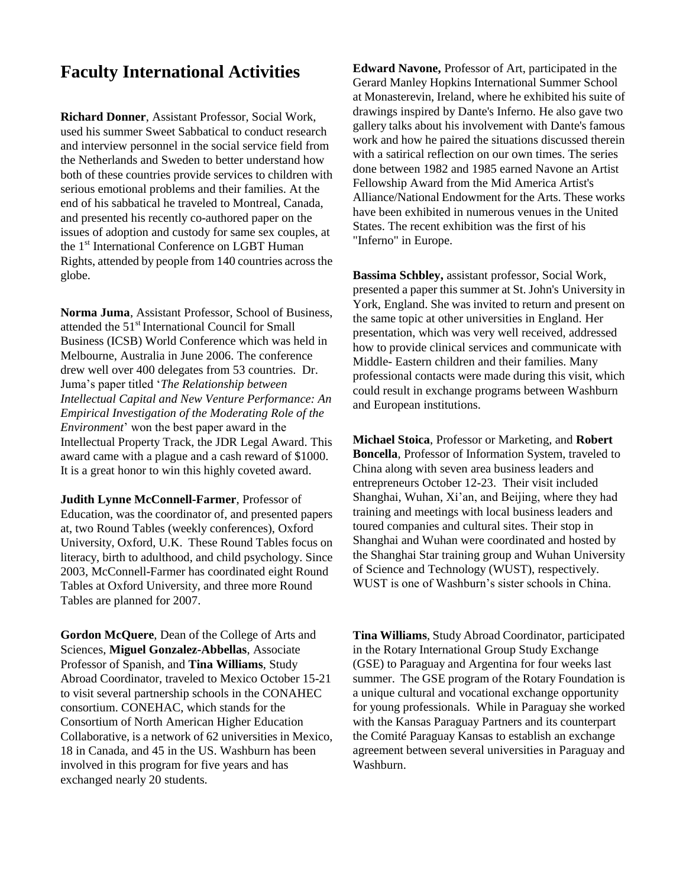### **Faculty International Activities**

**Richard Donner**, Assistant Professor, Social Work, used his summer Sweet Sabbatical to conduct research and interview personnel in the social service field from the Netherlands and Sweden to better understand how both of these countries provide services to children with serious emotional problems and their families. At the end of his sabbatical he traveled to Montreal, Canada, and presented his recently co-authored paper on the issues of adoption and custody for same sex couples, at the 1<sup>st</sup> International Conference on LGBT Human Rights, attended by people from 140 countries across the globe.

**Norma Juma**, Assistant Professor, School of Business, attended the 51<sup>st</sup> International Council for Small Business (ICSB) World Conference which was held in Melbourne, Australia in June 2006. The conference drew well over 400 delegates from 53 countries. Dr. Juma's paper titled ‗*The Relationship between Intellectual Capital and New Venture Performance: An Empirical Investigation of the Moderating Role of the Environment*' won the best paper award in the Intellectual Property Track, the JDR Legal Award. This award came with a plague and a cash reward of \$1000. It is a great honor to win this highly coveted award.

**Judith Lynne McConnell-Farmer**, Professor of Education, was the coordinator of, and presented papers at, two Round Tables (weekly conferences), Oxford University, Oxford, U.K. These Round Tables focus on literacy, birth to adulthood, and child psychology. Since 2003, McConnell-Farmer has coordinated eight Round Tables at Oxford University, and three more Round Tables are planned for 2007.

**Gordon McQuere**, Dean of the College of Arts and Sciences, **Miguel Gonzalez-Abbellas**, Associate Professor of Spanish, and **Tina Williams**, Study Abroad Coordinator, traveled to Mexico October 15-21 to visit several partnership schools in the CONAHEC consortium. CONEHAC, which stands for the Consortium of North American Higher Education Collaborative, is a network of 62 universities in Mexico, 18 in Canada, and 45 in the US. Washburn has been involved in this program for five years and has exchanged nearly 20 students.

**Edward Navone,** Professor of Art, participated in the Gerard Manley Hopkins International Summer School at Monasterevin, Ireland, where he exhibited his suite of drawings inspired by Dante's Inferno. He also gave two gallery talks about his involvement with Dante's famous work and how he paired the situations discussed therein with a satirical reflection on our own times. The series done between 1982 and 1985 earned Navone an Artist Fellowship Award from the Mid America Artist's Alliance/National Endowment for the Arts. These works have been exhibited in numerous venues in the United States. The recent exhibition was the first of his "Inferno" in Europe.

**Bassima Schbley,** assistant professor, Social Work, presented a paper this summer at St. John's University in York, England. She was invited to return and present on the same topic at other universities in England. Her presentation, which was very well received, addressed how to provide clinical services and communicate with Middle- Eastern children and their families. Many professional contacts were made during this visit, which could result in exchange programs between Washburn and European institutions.

**Michael Stoica**, Professor or Marketing, and **Robert Boncella**, Professor of Information System, traveled to China along with seven area business leaders and entrepreneurs October 12-23. Their visit included Shanghai, Wuhan, Xi'an, and Beijing, where they had training and meetings with local business leaders and toured companies and cultural sites. Their stop in Shanghai and Wuhan were coordinated and hosted by the Shanghai Star training group and Wuhan University of Science and Technology (WUST), respectively. WUST is one of Washburn's sister schools in China.

**Tina Williams**, Study Abroad Coordinator, participated in the Rotary International Group Study Exchange (GSE) to Paraguay and Argentina for four weeks last summer. The GSE program of the Rotary Foundation is a unique cultural and vocational exchange opportunity for young professionals. While in Paraguay she worked with the Kansas Paraguay Partners and its counterpart the Comité Paraguay Kansas to establish an exchange agreement between several universities in Paraguay and Washburn.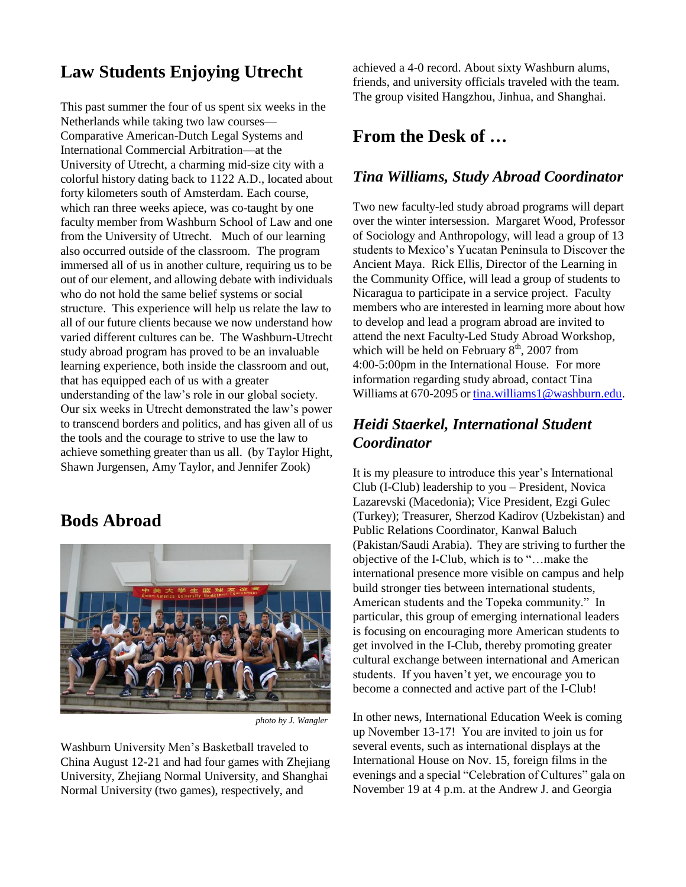# **Law Students Enjoying Utrecht**

This past summer the four of us spent six weeks in the Netherlands while taking two law courses— Comparative American-Dutch Legal Systems and International Commercial Arbitration—at the University of Utrecht, a charming mid-size city with a colorful history dating back to 1122 A.D., located about forty kilometers south of Amsterdam. Each course, which ran three weeks apiece, was co-taught by one faculty member from Washburn School of Law and one from the University of Utrecht. Much of our learning also occurred outside of the classroom. The program immersed all of us in another culture, requiring us to be out of our element, and allowing debate with individuals who do not hold the same belief systems or social structure. This experience will help us relate the law to all of our future clients because we now understand how varied different cultures can be. The Washburn-Utrecht study abroad program has proved to be an invaluable learning experience, both inside the classroom and out, that has equipped each of us with a greater understanding of the law's role in our global society. Our six weeks in Utrecht demonstrated the law's power to transcend borders and politics, and has given all of us the tools and the courage to strive to use the law to achieve something greater than us all. (by Taylor Hight, Shawn Jurgensen, Amy Taylor, and Jennifer Zook)

**Bods Abroad**



*photo by J. Wangler*

Washburn University Men's Basketball traveled to China August 12-21 and had four games with Zhejiang University, Zhejiang Normal University, and Shanghai Normal University (two games), respectively, and

achieved a 4-0 record. About sixty Washburn alums, friends, and university officials traveled with the team. The group visited Hangzhou, Jinhua, and Shanghai.

### **From the Desk of …**

#### *Tina Williams, Study Abroad Coordinator*

Two new faculty-led study abroad programs will depart over the winter intersession. Margaret Wood, Professor of Sociology and Anthropology, will lead a group of 13 students to Mexico's Yucatan Peninsula to Discover the Ancient Maya. Rick Ellis, Director of the Learning in the Community Office, will lead a group of students to Nicaragua to participate in a service project. Faculty members who are interested in learning more about how to develop and lead a program abroad are invited to attend the next Faculty-Led Study Abroad Workshop, which will be held on February  $8<sup>th</sup>$ , 2007 from 4:00-5:00pm in the International House. For more information regarding study abroad, contact Tina Williams at 670-2095 o[r tina.williams1@washburn.edu.](mailto:tina.williams1@washburn.edu)

### *Heidi Staerkel, International Student Coordinator*

It is my pleasure to introduce this year's International Club (I-Club) leadership to you – President, Novica Lazarevski (Macedonia); Vice President, Ezgi Gulec (Turkey); Treasurer, Sherzod Kadirov (Uzbekistan) and Public Relations Coordinator, Kanwal Baluch (Pakistan/Saudi Arabia). They are striving to further the objective of the I-Club, which is to ―…make the international presence more visible on campus and help build stronger ties between international students, American students and the Topeka community." In particular, this group of emerging international leaders is focusing on encouraging more American students to get involved in the I-Club, thereby promoting greater cultural exchange between international and American students. If you haven't yet, we encourage you to become a connected and active part of the I-Club!

In other news, International Education Week is coming up November 13-17! You are invited to join us for several events, such as international displays at the International House on Nov. 15, foreign films in the evenings and a special "Celebration of Cultures" gala on November 19 at 4 p.m. at the Andrew J. and Georgia